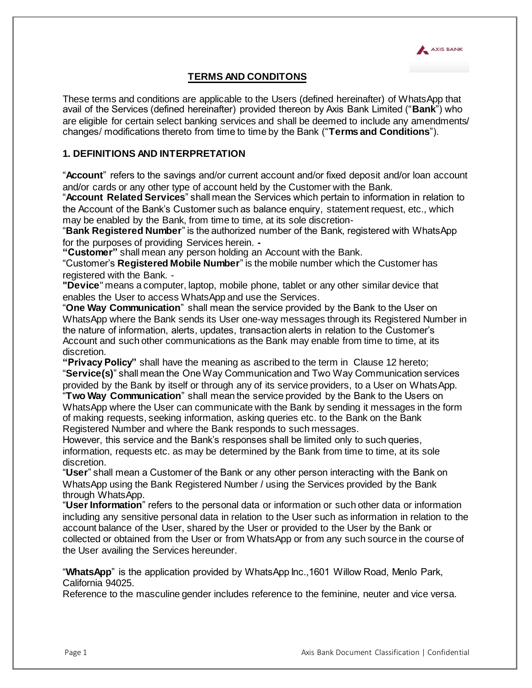

# **TERMS AND CONDITONS**

These terms and conditions are applicable to the Users (defined hereinafter) of WhatsApp that avail of the Services (defined hereinafter) provided thereon by Axis Bank Limited ("**Bank**") who are eligible for certain select banking services and shall be deemed to include any amendments/ changes/ modifications thereto from time to time by the Bank ("**Terms and Conditions**").

### **1. DEFINITIONS AND INTERPRETATION**

"**Account**" refers to the savings and/or current account and/or fixed deposit and/or loan account and/or cards or any other type of account held by the Customer with the Bank.

"**Account Related Services**" shall mean the Services which pertain to information in relation to the Account of the Bank's Customer such as balance enquiry, statement request, etc., which may be enabled by the Bank, from time to time, at its sole discretion-

"**Bank Registered Number**" is the authorized number of the Bank, registered with WhatsApp for the purposes of providing Services herein. *-*

**"Customer"** shall mean any person holding an Account with the Bank.

"Customer's **Registered Mobile Number**" is the mobile number which the Customer has registered with the Bank. -

**"Device**" means a computer, laptop, mobile phone, tablet or any other similar device that enables the User to access WhatsApp and use the Services.

"**One Way Communication**" shall mean the service provided by the Bank to the User on WhatsApp where the Bank sends its User one-way messages through its Registered Number in the nature of information, alerts, updates, transaction alerts in relation to the Customer's Account and such other communications as the Bank may enable from time to time, at its discretion.

**"Privacy Policy"** shall have the meaning as ascribed to the term in Clause 12 hereto; "**Service(s)**" shall mean the One Way Communication and Two Way Communication services provided by the Bank by itself or through any of its service providers, to a User on WhatsApp.

"**Two Way Communication**" shall mean the service provided by the Bank to the Users on WhatsApp where the User can communicate with the Bank by sending it messages in the form of making requests, seeking information, asking queries etc. to the Bank on the Bank Registered Number and where the Bank responds to such messages.

However, this service and the Bank's responses shall be limited only to such queries, information, requests etc. as may be determined by the Bank from time to time, at its sole discretion.

"**User**" shall mean a Customer of the Bank or any other person interacting with the Bank on WhatsApp using the Bank Registered Number / using the Services provided by the Bank through WhatsApp.

"**User Information**" refers to the personal data or information or such other data or information including any sensitive personal data in relation to the User such as information in relation to the account balance of the User, shared by the User or provided to the User by the Bank or collected or obtained from the User or from WhatsApp or from any such source in the course of the User availing the Services hereunder.

"**WhatsApp**" is the application provided by WhatsApp Inc.,1601 Willow Road, Menlo Park, California 94025.

Reference to the masculine gender includes reference to the feminine, neuter and vice versa.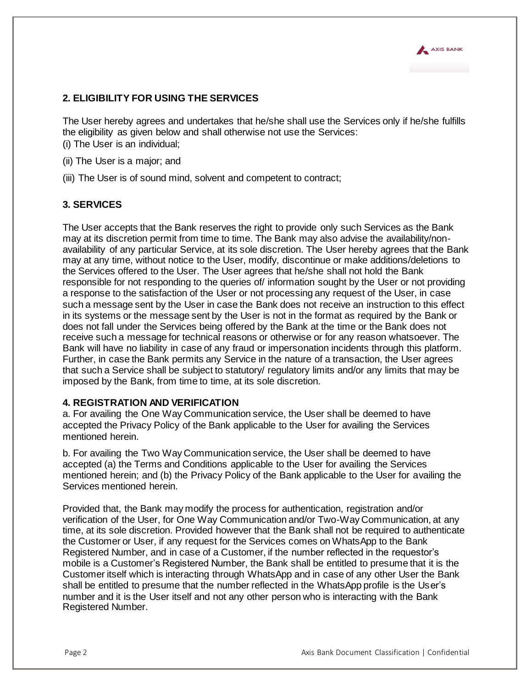

# **2. ELIGIBILITY FOR USING THE SERVICES**

The User hereby agrees and undertakes that he/she shall use the Services only if he/she fulfills the eligibility as given below and shall otherwise not use the Services: (i) The User is an individual;

- (ii) The User is a major; and
- (iii) The User is of sound mind, solvent and competent to contract;

# **3. SERVICES**

The User accepts that the Bank reserves the right to provide only such Services as the Bank may at its discretion permit from time to time. The Bank may also advise the availability/nonavailability of any particular Service, at its sole discretion. The User hereby agrees that the Bank may at any time, without notice to the User, modify, discontinue or make additions/deletions to the Services offered to the User. The User agrees that he/she shall not hold the Bank responsible for not responding to the queries of/ information sought by the User or not providing a response to the satisfaction of the User or not processing any request of the User, in case such a message sent by the User in case the Bank does not receive an instruction to this effect in its systems or the message sent by the User is not in the format as required by the Bank or does not fall under the Services being offered by the Bank at the time or the Bank does not receive such a message for technical reasons or otherwise or for any reason whatsoever. The Bank will have no liability in case of any fraud or impersonation incidents through this platform. Further, in case the Bank permits any Service in the nature of a transaction, the User agrees that such a Service shall be subject to statutory/ regulatory limits and/or any limits that may be imposed by the Bank, from time to time, at its sole discretion.

#### **4. REGISTRATION AND VERIFICATION**

a. For availing the One Way Communication service, the User shall be deemed to have accepted the Privacy Policy of the Bank applicable to the User for availing the Services mentioned herein.

b. For availing the Two Way Communication service, the User shall be deemed to have accepted (a) the Terms and Conditions applicable to the User for availing the Services mentioned herein; and (b) the Privacy Policy of the Bank applicable to the User for availing the Services mentioned herein.

Provided that, the Bank may modify the process for authentication, registration and/or verification of the User, for One Way Communication and/or Two-Way Communication, at any time, at its sole discretion. Provided however that the Bank shall not be required to authenticate the Customer or User, if any request for the Services comes on WhatsApp to the Bank Registered Number, and in case of a Customer, if the number reflected in the requestor's mobile is a Customer's Registered Number, the Bank shall be entitled to presume that it is the Customer itself which is interacting through WhatsApp and in case of any other User the Bank shall be entitled to presume that the number reflected in the WhatsApp profile is the User's number and it is the User itself and not any other person who is interacting with the Bank Registered Number.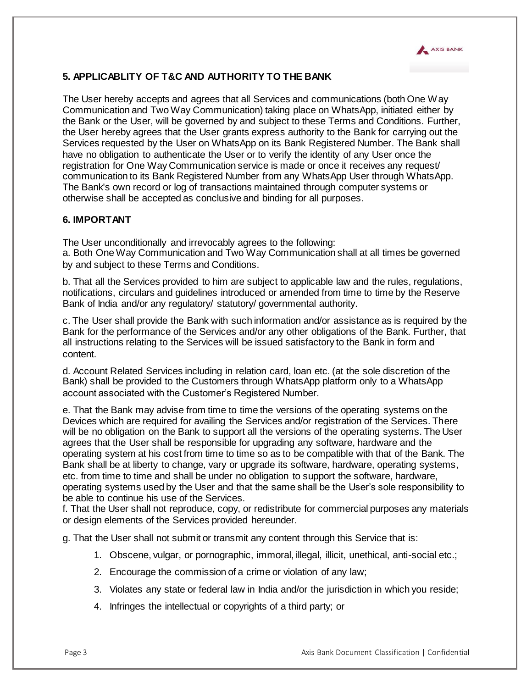

# **5. APPLICABLITY OF T&C AND AUTHORITY TO THE BANK**

The User hereby accepts and agrees that all Services and communications (both One Way Communication and Two Way Communication) taking place on WhatsApp, initiated either by the Bank or the User, will be governed by and subject to these Terms and Conditions. Further, the User hereby agrees that the User grants express authority to the Bank for carrying out the Services requested by the User on WhatsApp on its Bank Registered Number. The Bank shall have no obligation to authenticate the User or to verify the identity of any User once the registration for One Way Communication service is made or once it receives any request/ communication to its Bank Registered Number from any WhatsApp User through WhatsApp. The Bank's own record or log of transactions maintained through computer systems or otherwise shall be accepted as conclusive and binding for all purposes.

# **6. IMPORTANT**

The User unconditionally and irrevocably agrees to the following: a. Both One Way Communication and Two Way Communication shall at all times be governed by and subject to these Terms and Conditions.

b. That all the Services provided to him are subject to applicable law and the rules, regulations, notifications, circulars and guidelines introduced or amended from time to time by the Reserve Bank of India and/or any regulatory/ statutory/ governmental authority.

c. The User shall provide the Bank with such information and/or assistance as is required by the Bank for the performance of the Services and/or any other obligations of the Bank. Further, that all instructions relating to the Services will be issued satisfactory to the Bank in form and content.

d. Account Related Services including in relation card, loan etc. (at the sole discretion of the Bank) shall be provided to the Customers through WhatsApp platform only to a WhatsApp account associated with the Customer's Registered Number.

e. That the Bank may advise from time to time the versions of the operating systems on the Devices which are required for availing the Services and/or registration of the Services. There will be no obligation on the Bank to support all the versions of the operating systems. The User agrees that the User shall be responsible for upgrading any software, hardware and the operating system at his cost from time to time so as to be compatible with that of the Bank. The Bank shall be at liberty to change, vary or upgrade its software, hardware, operating systems, etc. from time to time and shall be under no obligation to support the software, hardware, operating systems used by the User and that the same shall be the User's sole responsibility to be able to continue his use of the Services.

f. That the User shall not reproduce, copy, or redistribute for commercial purposes any materials or design elements of the Services provided hereunder.

g. That the User shall not submit or transmit any content through this Service that is:

- 1. Obscene, vulgar, or pornographic, immoral, illegal, illicit, unethical, anti-social etc.;
- 2. Encourage the commission of a crime or violation of any law;
- 3. Violates any state or federal law in India and/or the jurisdiction in which you reside;
- 4. Infringes the intellectual or copyrights of a third party; or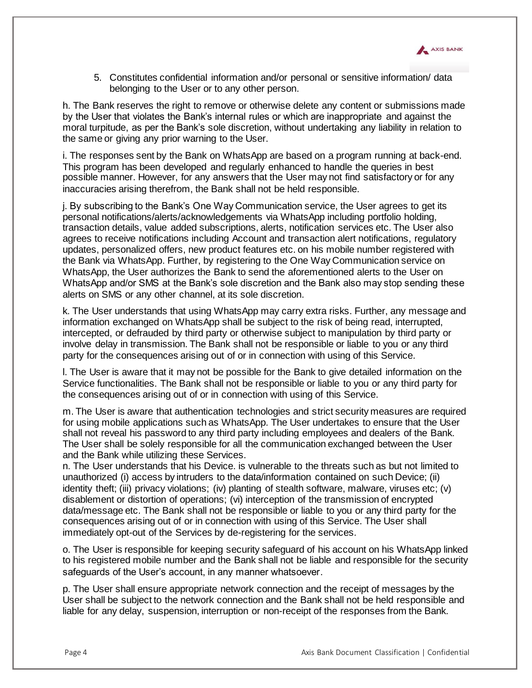

5. Constitutes confidential information and/or personal or sensitive information/ data belonging to the User or to any other person.

h. The Bank reserves the right to remove or otherwise delete any content or submissions made by the User that violates the Bank's internal rules or which are inappropriate and against the moral turpitude, as per the Bank's sole discretion, without undertaking any liability in relation to the same or giving any prior warning to the User.

i. The responses sent by the Bank on WhatsApp are based on a program running at back-end. This program has been developed and regularly enhanced to handle the queries in best possible manner. However, for any answers that the User may not find satisfactory or for any inaccuracies arising therefrom, the Bank shall not be held responsible.

j. By subscribing to the Bank's One Way Communication service, the User agrees to get its personal notifications/alerts/acknowledgements via WhatsApp including portfolio holding, transaction details, value added subscriptions, alerts, notification services etc. The User also agrees to receive notifications including Account and transaction alert notifications, regulatory updates, personalized offers, new product features etc. on his mobile number registered with the Bank via WhatsApp. Further, by registering to the One Way Communication service on WhatsApp, the User authorizes the Bank to send the aforementioned alerts to the User on WhatsApp and/or SMS at the Bank's sole discretion and the Bank also may stop sending these alerts on SMS or any other channel, at its sole discretion.

k. The User understands that using WhatsApp may carry extra risks. Further, any message and information exchanged on WhatsApp shall be subject to the risk of being read, interrupted, intercepted, or defrauded by third party or otherwise subject to manipulation by third party or involve delay in transmission. The Bank shall not be responsible or liable to you or any third party for the consequences arising out of or in connection with using of this Service.

l. The User is aware that it may not be possible for the Bank to give detailed information on the Service functionalities. The Bank shall not be responsible or liable to you or any third party for the consequences arising out of or in connection with using of this Service.

m. The User is aware that authentication technologies and strict security measures are required for using mobile applications such as WhatsApp. The User undertakes to ensure that the User shall not reveal his password to any third party including employees and dealers of the Bank. The User shall be solely responsible for all the communication exchanged between the User and the Bank while utilizing these Services.

n. The User understands that his Device. is vulnerable to the threats such as but not limited to unauthorized (i) access by intruders to the data/information contained on such Device; (ii) identity theft; (iii) privacy violations; (iv) planting of stealth software, malware, viruses etc; (v) disablement or distortion of operations; (vi) interception of the transmission of encrypted data/message etc. The Bank shall not be responsible or liable to you or any third party for the consequences arising out of or in connection with using of this Service. The User shall immediately opt-out of the Services by de-registering for the services.

o. The User is responsible for keeping security safeguard of his account on his WhatsApp linked to his registered mobile number and the Bank shall not be liable and responsible for the security safeguards of the User's account, in any manner whatsoever.

p. The User shall ensure appropriate network connection and the receipt of messages by the User shall be subject to the network connection and the Bank shall not be held responsible and liable for any delay, suspension, interruption or non-receipt of the responses from the Bank.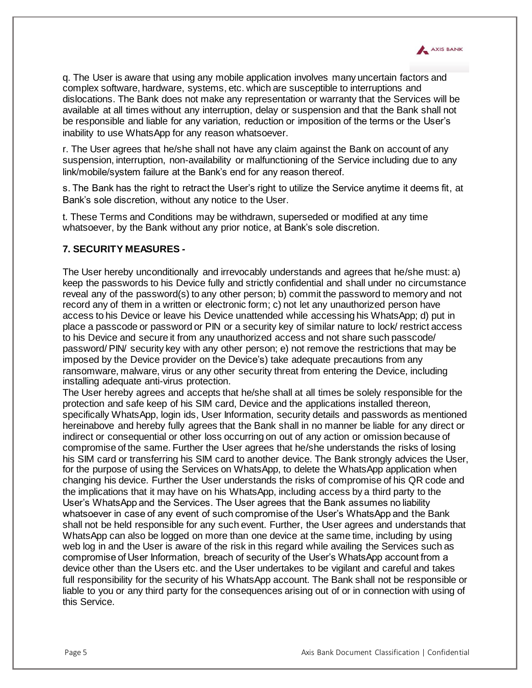

q. The User is aware that using any mobile application involves many uncertain factors and complex software, hardware, systems, etc. which are susceptible to interruptions and dislocations. The Bank does not make any representation or warranty that the Services will be available at all times without any interruption, delay or suspension and that the Bank shall not be responsible and liable for any variation, reduction or imposition of the terms or the User's inability to use WhatsApp for any reason whatsoever.

r. The User agrees that he/she shall not have any claim against the Bank on account of any suspension, interruption, non-availability or malfunctioning of the Service including due to any link/mobile/system failure at the Bank's end for any reason thereof.

s. The Bank has the right to retract the User's right to utilize the Service anytime it deems fit, at Bank's sole discretion, without any notice to the User.

t. These Terms and Conditions may be withdrawn, superseded or modified at any time whatsoever, by the Bank without any prior notice, at Bank's sole discretion.

# **7. SECURITY MEASURES** *-*

The User hereby unconditionally and irrevocably understands and agrees that he/she must: a) keep the passwords to his Device fully and strictly confidential and shall under no circumstance reveal any of the password(s) to any other person; b) commit the password to memory and not record any of them in a written or electronic form; c) not let any unauthorized person have access to his Device or leave his Device unattended while accessing his WhatsApp; d) put in place a passcode or password or PIN or a security key of similar nature to lock/ restrict access to his Device and secure it from any unauthorized access and not share such passcode/ password/ PIN/ security key with any other person; e) not remove the restrictions that may be imposed by the Device provider on the Device's) take adequate precautions from any ransomware, malware, virus or any other security threat from entering the Device, including installing adequate anti-virus protection.

The User hereby agrees and accepts that he/she shall at all times be solely responsible for the protection and safe keep of his SIM card, Device and the applications installed thereon, specifically WhatsApp, login ids, User Information, security details and passwords as mentioned hereinabove and hereby fully agrees that the Bank shall in no manner be liable for any direct or indirect or consequential or other loss occurring on out of any action or omission because of compromise of the same. Further the User agrees that he/she understands the risks of losing his SIM card or transferring his SIM card to another device. The Bank strongly advices the User, for the purpose of using the Services on WhatsApp, to delete the WhatsApp application when changing his device. Further the User understands the risks of compromise of his QR code and the implications that it may have on his WhatsApp, including access by a third party to the User's WhatsApp and the Services. The User agrees that the Bank assumes no liability whatsoever in case of any event of such compromise of the User's WhatsApp and the Bank shall not be held responsible for any such event. Further, the User agrees and understands that WhatsApp can also be logged on more than one device at the same time, including by using web log in and the User is aware of the risk in this regard while availing the Services such as compromise of User Information, breach of security of the User's WhatsApp account from a device other than the Users etc. and the User undertakes to be vigilant and careful and takes full responsibility for the security of his WhatsApp account. The Bank shall not be responsible or liable to you or any third party for the consequences arising out of or in connection with using of this Service.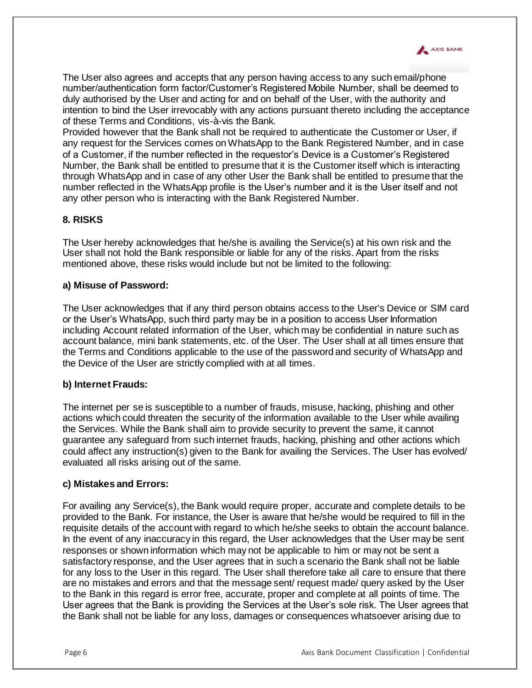

The User also agrees and accepts that any person having access to any such email/phone number/authentication form factor/Customer's Registered Mobile Number, shall be deemed to duly authorised by the User and acting for and on behalf of the User, with the authority and intention to bind the User irrevocably with any actions pursuant thereto including the acceptance of these Terms and Conditions, vis-à-vis the Bank.

Provided however that the Bank shall not be required to authenticate the Customer or User, if any request for the Services comes on WhatsApp to the Bank Registered Number, and in case of a Customer, if the number reflected in the requestor's Device is a Customer's Registered Number, the Bank shall be entitled to presume that it is the Customer itself which is interacting through WhatsApp and in case of any other User the Bank shall be entitled to presume that the number reflected in the WhatsApp profile is the User's number and it is the User itself and not any other person who is interacting with the Bank Registered Number.

# **8. RISKS**

The User hereby acknowledges that he/she is availing the Service(s) at his own risk and the User shall not hold the Bank responsible or liable for any of the risks. Apart from the risks mentioned above, these risks would include but not be limited to the following:

#### **a) Misuse of Password:**

The User acknowledges that if any third person obtains access to the User's Device or SIM card or the User's WhatsApp, such third party may be in a position to access User Information including Account related information of the User, which may be confidential in nature such as account balance, mini bank statements, etc. of the User. The User shall at all times ensure that the Terms and Conditions applicable to the use of the password and security of WhatsApp and the Device of the User are strictly complied with at all times.

#### **b) Internet Frauds:**

The internet per se is susceptible to a number of frauds, misuse, hacking, phishing and other actions which could threaten the security of the information available to the User while availing the Services. While the Bank shall aim to provide security to prevent the same, it cannot guarantee any safeguard from such internet frauds, hacking, phishing and other actions which could affect any instruction(s) given to the Bank for availing the Services. The User has evolved/ evaluated all risks arising out of the same.

#### **c) Mistakes and Errors:**

For availing any Service(s), the Bank would require proper, accurate and complete details to be provided to the Bank. For instance, the User is aware that he/she would be required to fill in the requisite details of the account with regard to which he/she seeks to obtain the account balance. In the event of any inaccuracy in this regard, the User acknowledges that the User may be sent responses or shown information which may not be applicable to him or may not be sent a satisfactory response, and the User agrees that in such a scenario the Bank shall not be liable for any loss to the User in this regard. The User shall therefore take all care to ensure that there are no mistakes and errors and that the message sent/ request made/ query asked by the User to the Bank in this regard is error free, accurate, proper and complete at all points of time. The User agrees that the Bank is providing the Services at the User's sole risk. The User agrees that the Bank shall not be liable for any loss, damages or consequences whatsoever arising due to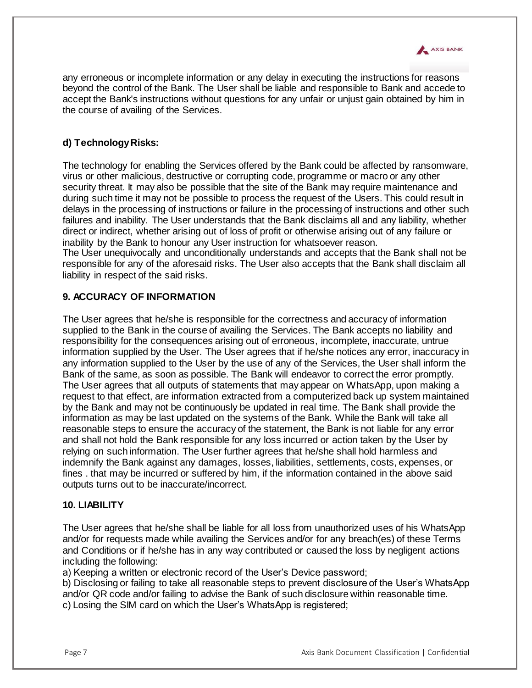

any erroneous or incomplete information or any delay in executing the instructions for reasons beyond the control of the Bank. The User shall be liable and responsible to Bank and accede to accept the Bank's instructions without questions for any unfair or unjust gain obtained by him in the course of availing of the Services.

# **d) Technology Risks:**

The technology for enabling the Services offered by the Bank could be affected by ransomware, virus or other malicious, destructive or corrupting code, programme or macro or any other security threat. It may also be possible that the site of the Bank may require maintenance and during such time it may not be possible to process the request of the Users. This could result in delays in the processing of instructions or failure in the processing of instructions and other such failures and inability. The User understands that the Bank disclaims all and any liability, whether direct or indirect, whether arising out of loss of profit or otherwise arising out of any failure or inability by the Bank to honour any User instruction for whatsoever reason. The User unequivocally and unconditionally understands and accepts that the Bank shall not be responsible for any of the aforesaid risks. The User also accepts that the Bank shall disclaim all liability in respect of the said risks.

# **9. ACCURACY OF INFORMATION**

The User agrees that he/she is responsible for the correctness and accuracy of information supplied to the Bank in the course of availing the Services. The Bank accepts no liability and responsibility for the consequences arising out of erroneous, incomplete, inaccurate, untrue information supplied by the User. The User agrees that if he/she notices any error, inaccuracy in any information supplied to the User by the use of any of the Services, the User shall inform the Bank of the same, as soon as possible. The Bank will endeavor to correct the error promptly. The User agrees that all outputs of statements that may appear on WhatsApp, upon making a request to that effect, are information extracted from a computerized back up system maintained by the Bank and may not be continuously be updated in real time. The Bank shall provide the information as may be last updated on the systems of the Bank. While the Bank will take all reasonable steps to ensure the accuracy of the statement, the Bank is not liable for any error and shall not hold the Bank responsible for any loss incurred or action taken by the User by relying on such information. The User further agrees that he/she shall hold harmless and indemnify the Bank against any damages, losses, liabilities, settlements, costs, expenses, or fines . that may be incurred or suffered by him, if the information contained in the above said outputs turns out to be inaccurate/incorrect.

#### **10. LIABILITY**

The User agrees that he/she shall be liable for all loss from unauthorized uses of his WhatsApp and/or for requests made while availing the Services and/or for any breach(es) of these Terms and Conditions or if he/she has in any way contributed or caused the loss by negligent actions including the following:

a) Keeping a written or electronic record of the User's Device password;

b) Disclosing or failing to take all reasonable steps to prevent disclosure of the User's WhatsApp and/or QR code and/or failing to advise the Bank of such disclosure within reasonable time. c) Losing the SIM card on which the User's WhatsApp is registered;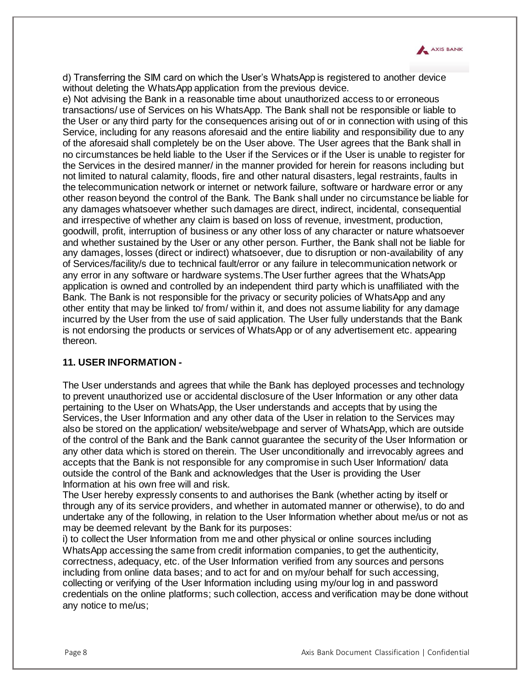

d) Transferring the SIM card on which the User's WhatsApp is registered to another device without deleting the WhatsApp application from the previous device.

e) Not advising the Bank in a reasonable time about unauthorized access to or erroneous transactions/ use of Services on his WhatsApp. The Bank shall not be responsible or liable to the User or any third party for the consequences arising out of or in connection with using of this Service, including for any reasons aforesaid and the entire liability and responsibility due to any of the aforesaid shall completely be on the User above. The User agrees that the Bank shall in no circumstances be held liable to the User if the Services or if the User is unable to register for the Services in the desired manner/ in the manner provided for herein for reasons including but not limited to natural calamity, floods, fire and other natural disasters, legal restraints, faults in the telecommunication network or internet or network failure, software or hardware error or any other reason beyond the control of the Bank. The Bank shall under no circumstance be liable for any damages whatsoever whether such damages are direct, indirect, incidental, consequential and irrespective of whether any claim is based on loss of revenue, investment, production, goodwill, profit, interruption of business or any other loss of any character or nature whatsoever and whether sustained by the User or any other person. Further, the Bank shall not be liable for any damages, losses (direct or indirect) whatsoever, due to disruption or non-availability of any of Services/facility/s due to technical fault/error or any failure in telecommunication network or any error in any software or hardware systems.The User further agrees that the WhatsApp application is owned and controlled by an independent third party which is unaffiliated with the Bank. The Bank is not responsible for the privacy or security policies of WhatsApp and any other entity that may be linked to/ from/ within it, and does not assume liability for any damage incurred by the User from the use of said application. The User fully understands that the Bank is not endorsing the products or services of WhatsApp or of any advertisement etc. appearing thereon.

#### **11. USER INFORMATION** *-*

The User understands and agrees that while the Bank has deployed processes and technology to prevent unauthorized use or accidental disclosure of the User Information or any other data pertaining to the User on WhatsApp, the User understands and accepts that by using the Services, the User Information and any other data of the User in relation to the Services may also be stored on the application/ website/webpage and server of WhatsApp, which are outside of the control of the Bank and the Bank cannot guarantee the security of the User Information or any other data which is stored on therein. The User unconditionally and irrevocably agrees and accepts that the Bank is not responsible for any compromise in such User Information/ data outside the control of the Bank and acknowledges that the User is providing the User Information at his own free will and risk.

The User hereby expressly consents to and authorises the Bank (whether acting by itself or through any of its service providers, and whether in automated manner or otherwise), to do and undertake any of the following, in relation to the User Information whether about me/us or not as may be deemed relevant by the Bank for its purposes:

i) to collect the User Information from me and other physical or online sources including WhatsApp accessing the same from credit information companies, to get the authenticity, correctness, adequacy, etc. of the User Information verified from any sources and persons including from online data bases; and to act for and on my/our behalf for such accessing, collecting or verifying of the User Information including using my/our log in and password credentials on the online platforms; such collection, access and verification may be done without any notice to me/us;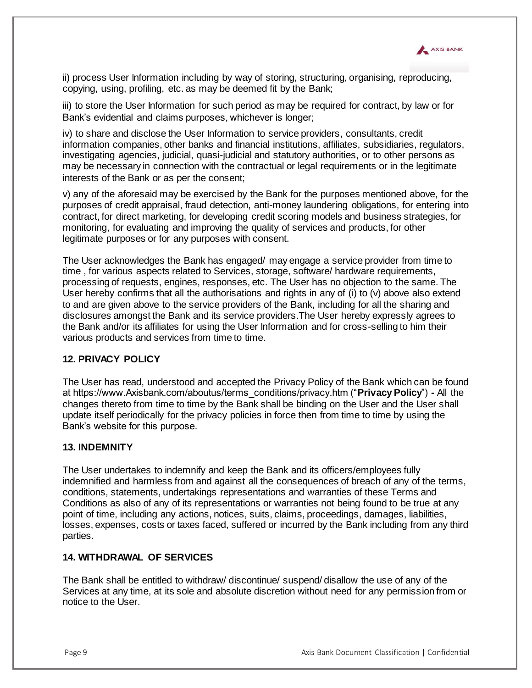

ii) process User Information including by way of storing, structuring, organising, reproducing, copying, using, profiling, etc. as may be deemed fit by the Bank;

iii) to store the User Information for such period as may be required for contract, by law or for Bank's evidential and claims purposes, whichever is longer;

iv) to share and disclose the User Information to service providers, consultants, credit information companies, other banks and financial institutions, affiliates, subsidiaries, regulators, investigating agencies, judicial, quasi-judicial and statutory authorities, or to other persons as may be necessary in connection with the contractual or legal requirements or in the legitimate interests of the Bank or as per the consent;

v) any of the aforesaid may be exercised by the Bank for the purposes mentioned above, for the purposes of credit appraisal, fraud detection, anti-money laundering obligations, for entering into contract, for direct marketing, for developing credit scoring models and business strategies, for monitoring, for evaluating and improving the quality of services and products, for other legitimate purposes or for any purposes with consent.

The User acknowledges the Bank has engaged/ may engage a service provider from time to time , for various aspects related to Services, storage, software/ hardware requirements, processing of requests, engines, responses, etc. The User has no objection to the same. The User hereby confirms that all the authorisations and rights in any of (i) to (v) above also extend to and are given above to the service providers of the Bank, including for all the sharing and disclosures amongst the Bank and its service providers.The User hereby expressly agrees to the Bank and/or its affiliates for using the User Information and for cross-selling to him their various products and services from time to time.

# **12. PRIVACY POLICY**

The User has read, understood and accepted the Privacy Policy of the Bank which can be found at https://www.Axisbank.com/aboutus/terms\_conditions/privacy.htm ("**Privacy Policy**") *-* All the changes thereto from time to time by the Bank shall be binding on the User and the User shall update itself periodically for the privacy policies in force then from time to time by using the Bank's website for this purpose.

#### **13. INDEMNITY**

The User undertakes to indemnify and keep the Bank and its officers/employees fully indemnified and harmless from and against all the consequences of breach of any of the terms, conditions, statements, undertakings representations and warranties of these Terms and Conditions as also of any of its representations or warranties not being found to be true at any point of time, including any actions, notices, suits, claims, proceedings, damages, liabilities, losses, expenses, costs or taxes faced, suffered or incurred by the Bank including from any third parties.

# **14. WITHDRAWAL OF SERVICES**

The Bank shall be entitled to withdraw/ discontinue/ suspend/ disallow the use of any of the Services at any time, at its sole and absolute discretion without need for any permission from or notice to the User.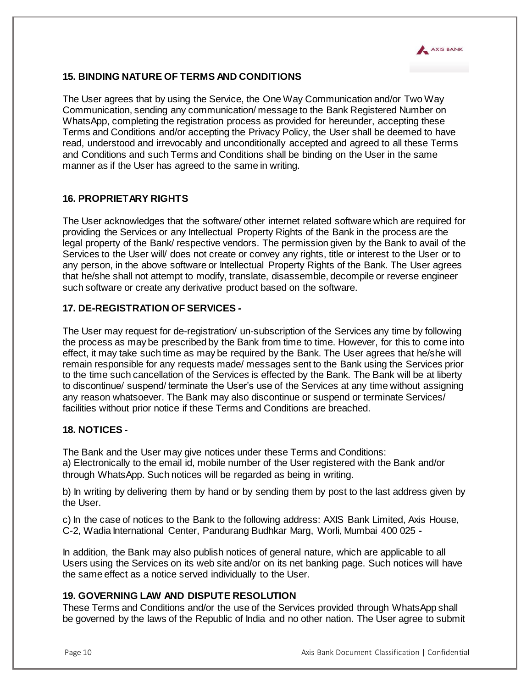

# **15. BINDING NATURE OF TERMS AND CONDITIONS**

The User agrees that by using the Service, the One Way Communication and/or Two Way Communication, sending any communication/ message to the Bank Registered Number on WhatsApp, completing the registration process as provided for hereunder, accepting these Terms and Conditions and/or accepting the Privacy Policy, the User shall be deemed to have read, understood and irrevocably and unconditionally accepted and agreed to all these Terms and Conditions and such Terms and Conditions shall be binding on the User in the same manner as if the User has agreed to the same in writing.

# **16. PROPRIETARY RIGHTS**

The User acknowledges that the software/ other internet related software which are required for providing the Services or any Intellectual Property Rights of the Bank in the process are the legal property of the Bank/ respective vendors. The permission given by the Bank to avail of the Services to the User will/ does not create or convey any rights, title or interest to the User or to any person, in the above software or Intellectual Property Rights of the Bank. The User agrees that he/she shall not attempt to modify, translate, disassemble, decompile or reverse engineer such software or create any derivative product based on the software.

# **17. DE-REGISTRATION OF SERVICES** *-*

The User may request for de-registration/ un-subscription of the Services any time by following the process as may be prescribed by the Bank from time to time. However, for this to come into effect, it may take such time as may be required by the Bank. The User agrees that he/she will remain responsible for any requests made/ messages sent to the Bank using the Services prior to the time such cancellation of the Services is effected by the Bank. The Bank will be at liberty to discontinue/ suspend/ terminate the User's use of the Services at any time without assigning any reason whatsoever. The Bank may also discontinue or suspend or terminate Services/ facilities without prior notice if these Terms and Conditions are breached.

### **18. NOTICES** *-*

The Bank and the User may give notices under these Terms and Conditions: a) Electronically to the email id, mobile number of the User registered with the Bank and/or through WhatsApp. Such notices will be regarded as being in writing.

b) In writing by delivering them by hand or by sending them by post to the last address given by the User.

c) In the case of notices to the Bank to the following address: AXIS Bank Limited, Axis House, C-2, Wadia International Center, Pandurang Budhkar Marg, Worli, Mumbai 400 025 *-*

In addition, the Bank may also publish notices of general nature, which are applicable to all Users using the Services on its web site and/or on its net banking page. Such notices will have the same effect as a notice served individually to the User.

#### **19. GOVERNING LAW AND DISPUTE RESOLUTION**

These Terms and Conditions and/or the use of the Services provided through WhatsApp shall be governed by the laws of the Republic of India and no other nation. The User agree to submit